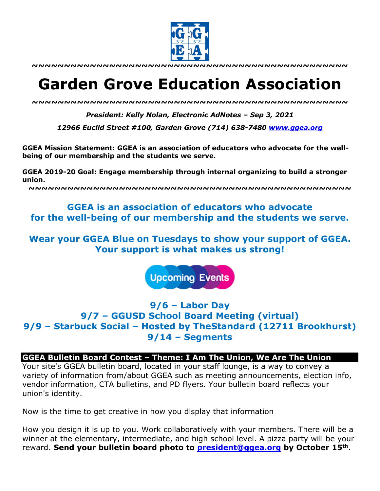

**~~~~~~~~~~~~~~~~~~~~~~~~~~~~~~~~~~~~~~~~~~~~~~~~~**

# **Garden Grove Education Association**

*~~~~~~~~~~~~~~~~~~~~~~~~~~~~~~~~~~~~~~~~~~~~~~~~~*

*President: Kelly Nolan, Electronic AdNotes – Sep 3, 2021*

*12966 Euclid Street #100, Garden Grove (714) 638-7480 www.ggea.org*

**GGEA Mission Statement: GGEA is an association of educators who advocate for the wellbeing of our membership and the students we serve.** 

**GGEA 2019-20 Goal: Engage membership through internal organizing to build a stronger union.**

**~~~~~~~~~~~~~~~~~~~~~~~~~~~~~~~~~~~~~~~~~~~~~~~~~~**

# **GGEA is an association of educators who advocate for the well-being of our membership and the students we serve.**

**Wear your GGEA Blue on Tuesdays to show your support of GGEA. Your support is what makes us strong!**

**Upcoming Events** 

# **9/6 – Labor Day 9/7 – GGUSD School Board Meeting (virtual) 9/9 – Starbuck Social – Hosted by TheStandard (12711 Brookhurst) 9/14 – Segments**

#### **GGEA Bulletin Board Contest – Theme: I Am The Union, We Are The Union**

Your site's GGEA bulletin board, located in your staff lounge, is a way to convey a variety of information from/about GGEA such as meeting announcements, election info, vendor information, CTA bulletins, and PD flyers. Your bulletin board reflects your union's identity.

Now is the time to get creative in how you display that information

How you design it is up to you. Work collaboratively with your members. There will be a winner at the elementary, intermediate, and high school level. A pizza party will be your reward. **Send your bulletin board photo to president@ggea.org by October 15th**.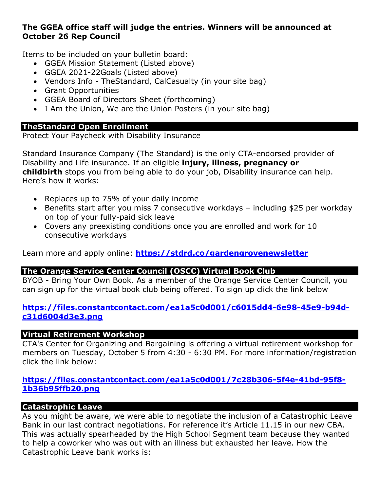# **The GGEA office staff will judge the entries. Winners will be announced at October 26 Rep Council**

Items to be included on your bulletin board:

- GGEA Mission Statement (Listed above)
- GGEA 2021-22Goals (Listed above)
- Vendors Info TheStandard, CalCasualty (in your site bag)
- Grant Opportunities
- GGEA Board of Directors Sheet (forthcoming)
- I Am the Union, We are the Union Posters (in your site bag)

#### **TheStandard Open Enrollment**

Protect Your Paycheck with Disability Insurance

Standard Insurance Company (The Standard) is the only CTA-endorsed provider of Disability and Life insurance. If an eligible **injury, illness, pregnancy or childbirth** stops you from being able to do your job, Disability insurance can help. Here's how it works:

- Replaces up to 75% of your daily income
- Benefits start after you miss 7 consecutive workdays including \$25 per workday on top of your fully-paid sick leave
- Covers any preexisting conditions once you are enrolled and work for 10 consecutive workdays

Learn more and apply online: **https://stdrd.co/gardengrovenewsletter**

# **The Orange Service Center Council (OSCC) Virtual Book Club**

BYOB - Bring Your Own Book. As a member of the Orange Service Center Council, you can sign up for the virtual book club being offered. To sign up click the link below

# **https://files.constantcontact.com/ea1a5c0d001/c6015dd4-6e98-45e9-b94dc31d6004d3e3.png**

# **Virtual Retirement Workshop**

CTA's Center for Organizing and Bargaining is offering a virtual retirement workshop for members on Tuesday, October 5 from 4:30 - 6:30 PM. For more information/registration click the link below:

# **https://files.constantcontact.com/ea1a5c0d001/7c28b306-5f4e-41bd-95f8- 1b36b95ffb20.png**

# **Catastrophic Leave**

As you might be aware, we were able to negotiate the inclusion of a Catastrophic Leave Bank in our last contract negotiations. For reference it's Article 11.15 in our new CBA. This was actually spearheaded by the High School Segment team because they wanted to help a coworker who was out with an illness but exhausted her leave. How the Catastrophic Leave bank works is: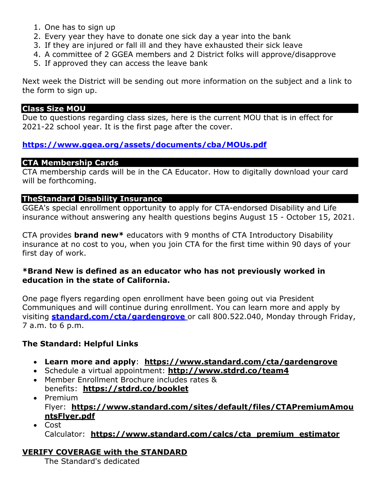- 1. One has to sign up
- 2. Every year they have to donate one sick day a year into the bank
- 3. If they are injured or fall ill and they have exhausted their sick leave
- 4. A committee of 2 GGEA members and 2 District folks will approve/disapprove
- 5. If approved they can access the leave bank

Next week the District will be sending out more information on the subject and a link to the form to sign up.

#### **Class Size MOU**

Due to questions regarding class sizes, here is the current MOU that is in effect for 2021-22 school year. It is the first page after the cover.

# **https://www.ggea.org/assets/documents/cba/MOUs.pdf**

# **CTA Membership Cards**

CTA membership cards will be in the CA Educator. How to digitally download your card will be forthcoming.

# **TheStandard Disability Insurance**

GGEA's special enrollment opportunity to apply for CTA-endorsed Disability and Life insurance without answering any health questions begins August 15 - October 15, 2021.

CTA provides **brand new\*** educators with 9 months of CTA Introductory Disability insurance at no cost to you, when you join CTA for the first time within 90 days of your first day of work.

# **\*Brand New is defined as an educator who has not previously worked in education in the state of California.**

One page flyers regarding open enrollment have been going out via President Communiques and will continue during enrollment. You can learn more and apply by visiting **standard.com/cta/gardengrove** or call 800.522.040, Monday through Friday, 7 a.m. to 6 p.m.

# **The Standard: Helpful Links**

- **Learn more and apply**: **https://www.standard.com/cta/gardengrove**
- Schedule a virtual appointment: **http://www.stdrd.co/team4**
- Member Enrollment Brochure includes rates & benefits: **https://stdrd.co/booklet**
- Premium Flyer: **https://www.standard.com/sites/default/files/CTAPremiumAmou ntsFlyer.pdf**
- Cost Calculator: **https://www.standard.com/calcs/cta\_premium\_estimator**

# **VERIFY COVERAGE with the STANDARD**

The Standard's dedicated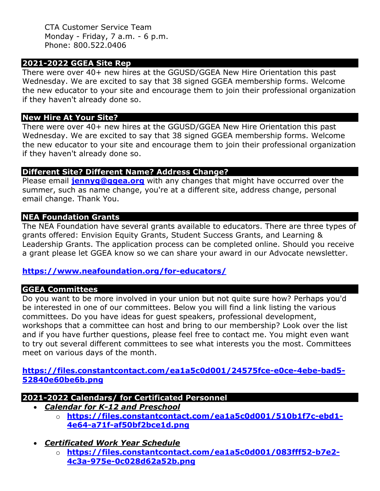CTA Customer Service Team Monday - Friday, 7 a.m. - 6 p.m. Phone: 800.522.0406

# **2021-2022 GGEA Site Rep**

There were over 40+ new hires at the GGUSD/GGEA New Hire Orientation this past Wednesday. We are excited to say that 38 signed GGEA membership forms. Welcome the new educator to your site and encourage them to join their professional organization if they haven't already done so.

# **New Hire At Your Site?**

There were over 40+ new hires at the GGUSD/GGEA New Hire Orientation this past Wednesday. We are excited to say that 38 signed GGEA membership forms. Welcome the new educator to your site and encourage them to join their professional organization if they haven't already done so.

# **Different Site? Different Name? Address Change?**

Please email **jennyg@ggea.org** with any changes that might have occurred over the summer, such as name change, you're at a different site, address change, personal email change. Thank You.

# **NEA Foundation Grants**

The NEA Foundation have several grants available to educators. There are three types of grants offered: Envision Equity Grants, Student Success Grants, and Learning & Leadership Grants. The application process can be completed online. Should you receive a grant please let GGEA know so we can share your award in our Advocate newsletter.

# **https://www.neafoundation.org/for-educators/**

# **GGEA Committees**

Do you want to be more involved in your union but not quite sure how? Perhaps you'd be interested in one of our committees. Below you will find a link listing the various committees. Do you have ideas for guest speakers, professional development, workshops that a committee can host and bring to our membership? Look over the list and if you have further questions, please feel free to contact me. You might even want to try out several different committees to see what interests you the most. Committees meet on various days of the month.

**https://files.constantcontact.com/ea1a5c0d001/24575fce-e0ce-4ebe-bad5- 52840e60be6b.png**

# **2021-2022 Calendars/ for Certificated Personnel**

- *Calendar for K-12 and Preschool*
	- o **https://files.constantcontact.com/ea1a5c0d001/510b1f7c-ebd1- 4e64-a71f-af50bf2bce1d.png**
- *Certificated Work Year Schedule*
	- o **https://files.constantcontact.com/ea1a5c0d001/083fff52-b7e2- 4c3a-975e-0c028d62a52b.png**